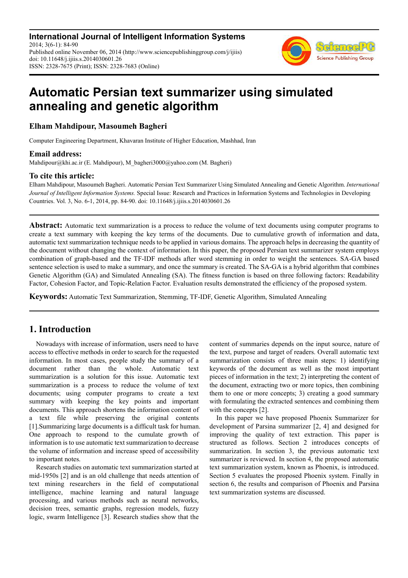**International Journal of Intelligent Information Systems** 2014; 3(6-1): 84-90 Published online November 06, 2014 (http://www.sciencepublishinggroup.com/j/ijiis) doi: 10.11648/j.ijiis.s.2014030601.26 ISSN: 2328-7675 (Print); ISSN: 2328-7683 (Online)



# **Automatic Persian text summarizer using simulated annealing and genetic algorithm**

**Elham Mahdipour, Masoumeh Bagheri** 

Computer Engineering Department, Khavaran Institute of Higher Education, Mashhad, Iran

### **Email address:**

Mahdipour@khi.ac.ir (E. Mahdipour), M\_bagheri3000@yahoo.com (M. Bagheri)

### **To cite this article:**

Elham Mahdipour, Masoumeh Bagheri. Automatic Persian Text Summarizer Using Simulated Annealing and Genetic Algorithm. *International Journal of Intelligent Information Systems.* Special Issue: Research and Practices in Information Systems and Technologies in Developing Countries. Vol. 3, No. 6-1, 2014, pp. 84-90. doi: 10.11648/j.ijiis.s.2014030601.26

**Abstract:** Automatic text summarization is a process to reduce the volume of text documents using computer programs to create a text summary with keeping the key terms of the documents. Due to cumulative growth of information and data, automatic text summarization technique needs to be applied in various domains. The approach helps in decreasing the quantity of the document without changing the context of information. In this paper, the proposed Persian text summarizer system employs combination of graph-based and the TF-IDF methods after word stemming in order to weight the sentences. SA-GA based sentence selection is used to make a summary, and once the summary is created. The SA-GA is a hybrid algorithm that combines Genetic Algorithm (GA) and Simulated Annealing (SA). The fitness function is based on three following factors: Readability Factor, Cohesion Factor, and Topic-Relation Factor. Evaluation results demonstrated the efficiency of the proposed system.

**Keywords:** Automatic Text Summarization, Stemming, TF-IDF, Genetic Algorithm, Simulated Annealing

# **1. Introduction**

Nowadays with increase of information, users need to have access to effective methods in order to search for the requested information. In most cases, people study the summary of a document rather than the whole. Automatic text summarization is a solution for this issue. Automatic text summarization is a process to reduce the volume of text documents; using computer programs to create a text summary with keeping the key points and important documents. This approach shortens the information content of a text file while preserving the original contents [1].Summarizing large documents is a difficult task for human. One approach to respond to the cumulate growth of information is to use automatic text summarization to decrease the volume of information and increase speed of accessibility to important notes.

Research studies on automatic text summarization started at mid-1950s [2] and is an old challenge that needs attention of text mining researchers in the field of computational intelligence, machine learning and natural language processing, and various methods such as neural networks, decision trees, semantic graphs, regression models, fuzzy logic, swarm Intelligence [3]. Research studies show that the content of summaries depends on the input source, nature of the text, purpose and target of readers. Overall automatic text summarization consists of three main steps: 1) identifying keywords of the document as well as the most important pieces of information in the text; 2) interpreting the content of the document, extracting two or more topics, then combining them to one or more concepts; 3) creating a good summary with formulating the extracted sentences and combining them with the concepts [2].

In this paper we have proposed Phoenix Summarizer for development of Parsina summarizer [2, 4] and designed for improving the quality of text extraction. This paper is structured as follows. Section 2 introduces concepts of summarization. In section 3, the previous automatic text summarizer is reviewed. In section 4, the proposed automatic text summarization system, known as Phoenix, is introduced. Section 5 evaluates the proposed Phoenix system. Finally in section 6, the results and comparison of Phoenix and Parsina text summarization systems are discussed.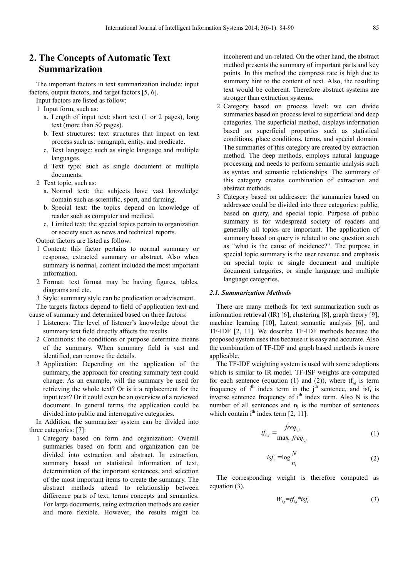### **2. The Concepts of Automatic Text Summarization**

The important factors in text summarization include: input factors, output factors, and target factors [5, 6].

Input factors are listed as follow:

- 1 Input form, such as:
	- a. Length of input text: short text (1 or 2 pages), long text (more than 50 pages).
	- b. Text structures: text structures that impact on text process such as: paragraph, entity, and predicate.
	- c. Text language: such as single language and multiple languages.
	- d. Text type: such as single document or multiple documents.
- 2 Text topic, such as:
	- a. Normal text: the subjects have vast knowledge domain such as scientific, sport, and farming.
	- b. Special text: the topics depend on knowledge of reader such as computer and medical.
	- c. Limited text: the special topics pertain to organization or society such as news and technical reports.

Output factors are listed as follow:

- 1 Content: this factor pertains to normal summary or response, extracted summary or abstract. Also when summary is normal, content included the most important information.
- 2 Format: text format may be having figures, tables, diagrams and etc.
- 3 Style: summary style can be predication or advisement.

The targets factors depend to field of application text and cause of summary and determined based on three factors:

- 1 Listeners: The level of listener's knowledge about the summary text field directly affects the results.
- 2 Conditions: the conditions or purpose determine means of the summary. When summary field is vast and identified, can remove the details.
- 3 Application: Depending on the application of the summary, the approach for creating summary text could change. As an example, will the summary be used for retrieving the whole text? Or is it a replacement for the input text? Or it could even be an overview of a reviewed document. In general terms, the application could be divided into public and interrogative categories.

In Addition, the summarizer system can be divided into three categories: [7]:

1 Category based on form and organization: Overall summaries based on form and organization can be divided into extraction and abstract. In extraction, summary based on statistical information of text, determination of the important sentences, and selection of the most important items to create the summary. The abstract methods attend to relationship between difference parts of text, terms concepts and semantics. For large documents, using extraction methods are easier and more flexible. However, the results might be incoherent and un-related. On the other hand, the abstract method presents the summary of important parts and key points. In this method the compress rate is high due to summary hint to the content of text. Also, the resulting text would be coherent. Therefore abstract systems are stronger than extraction systems.

- 2 Category based on process level: we can divide summaries based on process level to superficial and deep categories. The superficial method, displays information based on superficial properties such as statistical conditions, place conditions, terms, and special domain. The summaries of this category are created by extraction method. The deep methods, employs natural language processing and needs to perform semantic analysis such as syntax and semantic relationships. The summary of this category creates combination of extraction and abstract methods.
- 3 Category based on addressee: the summaries based on addressee could be divided into three categories: public, based on query, and special topic. Purpose of public summary is for widespread society of readers and generally all topics are important. The application of summary based on query is related to one question such as "what is the cause of incidence?". The purpose in special topic summary is the user revenue and emphasis on special topic or single document and multiple document categories, or single language and multiple language categories.

#### *2.1. Summarization Methods*

There are many methods for text summarization such as information retrieval (IR) [6], clustering [8], graph theory [9], machine learning [10], Latent semantic analysis [6], and TF-IDF [2, 11]. We describe TF-IDF methods because the proposed system uses this because it is easy and accurate. Also the combination of TF-IDF and graph based methods is more applicable.

The TF-IDF weighting system is used with some adoptions which is similar to IR model. TF-ISF weights are computed for each sentence (equation (1) and (2)), where  $tf_{i,j}$  is term frequency of  $i<sup>th</sup>$  index term in the  $j<sup>th</sup>$  sentence, and isf<sub>i</sub> is inverse sentence frequency of  $i<sup>th</sup>$  index term. Also N is the number of all sentences and  $n_i$  is the number of sentences which contain  $i<sup>th</sup>$  index term [2, 11].

$$
tf_{i,j} = \frac{freq_{i,j}}{\max_i freq_{i,j}}
$$
 (1)

$$
isf_i = \log \frac{N}{n_i} \tag{2}
$$

The corresponding weight is therefore computed as equation (3).

$$
W_{i,j} = tf_{i,j} * isf_i \tag{3}
$$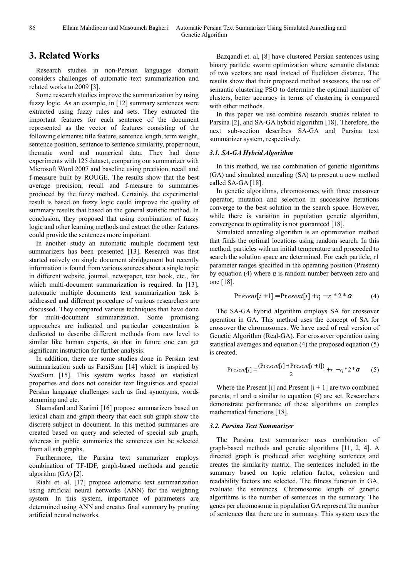### **3. Related Works**

Research studies in non-Persian languages domain considers challenges of automatic text summarization and related works to 2009 [3].

Some research studies improve the summarization by using fuzzy logic. As an example, in [12] summary sentences were extracted using fuzzy rules and sets. They extracted the important features for each sentence of the document represented as the vector of features consisting of the following elements: title feature, sentence length, term weight, sentence position, sentence to sentence similarity, proper noun, thematic word and numerical data. They had done experiments with 125 dataset, comparing our summarizer with Microsoft Word 2007 and baseline using precision, recall and f-measure built by ROUGE. The results show that the best average precision, recall and f-measure to summaries produced by the fuzzy method. Certainly, the experimental result is based on fuzzy logic could improve the quality of summary results that based on the general statistic method. In conclusion, they proposed that using combination of fuzzy logic and other learning methods and extract the other features could provide the sentences more important.

In another study an automatic multiple document text summarizers has been presented [13]. Research was first started naively on single document abridgement but recently information is found from various sources about a single topic in different website, journal, newspaper, text book, etc., for which multi-document summarization is required. In [13], automatic multiple documents text summarization task is addressed and different procedure of various researchers are discussed. They compared various techniques that have done for multi-document summarization. Some promising approaches are indicated and particular concentration is dedicated to describe different methods from raw level to similar like human experts, so that in future one can get significant instruction for further analysis.

In addition, there are some studies done in Persian text summarization such as FarsiSum [14] which is inspired by SweSum [15]. This system works based on statistical properties and does not consider text linguistics and special Persian language challenges such as find synonyms, words stemming and etc.

Shamsfard and Karimi [16] propose summarizers based on lexical chain and graph theory that each sub graph show the discrete subject in document. In this method summaries are created based on query and selected of special sub graph, whereas in public summaries the sentences can be selected from all sub graphs.

Furthermore, the Parsina text summarizer employs combination of TF-IDF, graph-based methods and genetic algorithm (GA) [2].

Riahi et. al, [17] propose automatic text summarization using artificial neural networks (ANN) for the weighting system. In this system, importance of parameters are determined using ANN and creates final summary by pruning artificial neural networks.

Bazqandi et. al, [8] have clustered Persian sentences using binary particle swarm optimization where semantic distance of two vectors are used instead of Euclidean distance. The results show that their proposed method assessors, the use of semantic clustering PSO to determine the optimal number of clusters, better accuracy in terms of clustering is compared with other methods.

In this paper we use combine research studies related to Parsina [2], and SA-GA hybrid algorithm [18]. Therefore, the next sub-section describes SA-GA and Parsina text summarizer system, respectively.

#### *3.1. SA-GA Hybrid Algorithm*

In this method, we use combination of genetic algorithms (GA) and simulated annealing (SA) to present a new method called SA-GA [18].

In genetic algorithms, chromosomes with three crossover operator, mutation and selection in successive iterations converge to the best solution in the search space. However, while there is variation in population genetic algorithm, convergence to optimality is not guaranteed [18].

Simulated annealing algorithm is an optimization method that finds the optimal locations using random search. In this method, particles with an initial temperature and proceeded to search the solution space are determined. For each particle, r1 parameter ranges specified in the operating position (Present) by equation (4) where  $\alpha$  is random number between zero and one [18].

$$
Pr \, \text{esent}[i+1] = Pr \, \text{esent}[i] + r_1 - r_1 \, ^* 2 \, ^* \alpha \tag{4}
$$

The SA-GA hybrid algorithm employs SA for crossover operation in GA. This method uses the concept of SA for crossover the chromosomes. We have used of real version of Genetic Algorithm (Real-GA). For crossover operation using statistical averages and equation (4) the proposed equation (5) is created.

$$
Present[i] = \frac{(Present[i] + Present[i+1])}{2} + r_i - r_i * 2 * \alpha \tag{5}
$$

Where the Present [i] and Present  $[i + 1]$  are two combined parents, r1 and  $\alpha$  similar to equation (4) are set. Researchers demonstrate performance of these algorithms on complex mathematical functions [18].

#### *3.2. Parsina Text Summarizer*

The Parsina text summarizer uses combination of graph-based methods and genetic algorithms [11, 2, 4]. A directed graph is produced after weighting sentences and creates the similarity matrix. The sentences included in the summary based on topic relation factor, cohesion and readability factors are selected. The fitness function in GA, evaluate the sentences. Chromosome length of genetic algorithms is the number of sentences in the summary. The genes per chromosome in population GA represent the number of sentences that there are in summary. This system uses the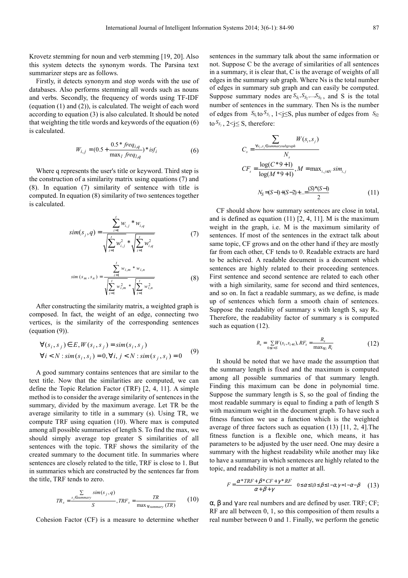Krovetz stemming for noun and verb stemming [19, 20]. Also this system detects the synonym words. The Parsina text summarizer steps are as follows.

Firstly, it detects synonym and stop words with the use of databases. Also performs stemming all words such as nouns and verbs. Secondly, the frequency of words using TF-IDF (equation (1) and (2)), is calculated. The weight of each word according to equation (3) is also calculated. It should be noted that weighting the title words and keywords of the equation (6) is calculated.

$$
W_{i,j} = (0.5 + \frac{0.5 * freq_{i,q}}{\max_{l} freq_{l,q}}) * isf_i
$$
 (6)

Where q represents the user's title or keyword. Third step is the construction of a similarity matrix using equations (7) and (8). In equation (7) similarity of sentence with title is computed. In equation (8) similarity of two sentences together is calculated.

$$
sim(s_j, q) = \frac{\sum_{i=1}^{t} w_{i,j} * w_{i,q}}{\sqrt{\sum_{i=1}^{t} w_{i,j}^2 * \sqrt{\sum_{i=1}^{t} w_{i,q}^2}}}
$$
(7)

$$
sim(s_m, s_n) = \frac{\sum_{i=1}^{t} w_{i,m} * w_{i,n}}{\sqrt{\sum_{i=1}^{t} w_{i,m}^2 * \sqrt{\sum_{i=1}^{t} w_{i,n}^2}}}
$$
(8)

After constructing the similarity matrix, a weighted graph is composed. In fact, the weight of an edge, connecting two vertices, is the similarity of the corresponding sentences (equation (9)).

$$
\forall (s_i, s_j) \in E, W(s_i, s_j) = sim(s_i, s_j)
$$
  
\n
$$
\forall i < N : sim(s_i, s_i) = 0, \forall i, j < N : sim(s_j, s_i) = 0 \tag{9}
$$

A good summary contains sentences that are similar to the text title. Now that the similarities are computed, we can define the Topic Relation Factor (TRF) [2, 4, 11]. A simple method is to consider the average similarity of sentences in the summary, divided by the maximum average. Let TR be the average similarity to title in a summary (s). Using TR, we compute TRF using equation (10). Where max is computed among all possible summaries of length S. To find the max, we should simply average top greater S similarities of all sentences with the topic. TRF shows the similarity of the created summary to the document title. In summaries where sentences are closely related to the title, TRF is close to 1. But in summaries which are constructed by the sentences far from the title, TRF tends to zero.

$$
TR_s = \frac{\sum\limits_{s_j \in summary} sim(s_j, q)}{S}, TRF_s = \frac{TR}{\max_{\forall summany} (TR)} \tag{10}
$$

Cohesion Factor (CF) is a measure to determine whether

sentences in the summary talk about the same information or not. Suppose C be the average of similarities of all sentences in a summary, it is clear that, C is the average of weights of all edges in the summary sub graph. Where Ns is the total number of edges in summary sub graph and can easily be computed. Suppose summary nodes are  $S_{S_1}, S_{S_2},..., S_{S_S}$ , and S is the total number of sentences in the summary. Then Ns is the number of edges from  $S_{S_1}$  to  $S_{S_j}$ ,  $1 \le j \le S$ , plus number of edges from  $S_{S_2}$ to  $S_{S_j}$ ,  $2 \le j \le S$ , therefore:

$$
C_{s} = \frac{\sum_{\forall s_{i}, s_{j} \in summanysubgraph} W(s_{i}, s_{j})}{N_{s}}
$$
  
\n
$$
CF_{s} = \frac{\log(C^{*}9 + 1)}{\log(M^{*}9 + 1)}, M = \max_{i, j \leq N} sim_{i,j}
$$
  
\n
$$
N_{S} = (S-1) + (S-2) + ... = \frac{(S)^{*}(S-1)}{2}
$$
 (11)

CF should show how summary sentences are close in total, and is defined as equation  $(11)$   $[2, 4, 11]$ . M is the maximum weight in the graph, i.e. M is the maximum similarity of sentences. If most of the sentences in the extract talk about same topic, CF grows and on the other hand if they are mostly far from each other, CF tends to 0. Readable extracts are hard to be achieved. A readable document is a document which sentences are highly related to their proceeding sentences. First sentence and second sentence are related to each other with a high similarity, same for second and third sentences, and so on. In fact a readable summary, as we define, is made up of sentences which form a smooth chain of sentences. Suppose the readability of summary s with length S, say Rs. Therefore, the readability factor of summary s is computed such as equation (12).

$$
R_s = \sum_{0 \le i < S} W(s_i, s_{i+1}), R F_s = \frac{R_s}{\max_{\forall i} R_i} \tag{12}
$$

It should be noted that we have made the assumption that the summary length is fixed and the maximum is computed among all possible summaries of that summary length. Finding this maximum can be done in polynomial time. Suppose the summary length is S, so the goal of finding the most readable summary is equal to finding a path of length S with maximum weight in the document graph. To have such a fitness function we use a function which is the weighted average of three factors such as equation (13) [11, 2, 4].The fitness function is a flexible one, which means, it has parameters to be adjusted by the user need. One may desire a summary with the highest readability while another may like to have a summary in which sentences are highly related to the topic, and readability is not a matter at all.

$$
F = \frac{\alpha^* TRF + \beta^* CF + \gamma^* RF}{\alpha + \beta + \gamma} \quad 0 \leq \alpha \leq 1, 0 \leq \beta \leq 1 - \alpha, \gamma = 1 - \alpha - \beta \quad (13)
$$

α, β and γ are real numbers and are defined by user. TRF; CF; RF are all between 0, 1, so this composition of them results a real number between 0 and 1. Finally, we perform the genetic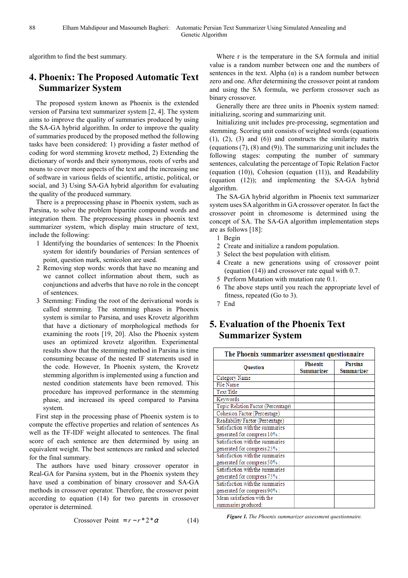algorithm to find the best summary.

## **4. Phoenix: The Proposed Automatic Text Summarizer System**

The proposed system known as Phoenix is the extended version of Parsina text summarizer system [2, 4]. The system aims to improve the quality of summaries produced by using the SA-GA hybrid algorithm. In order to improve the quality of summaries produced by the proposed method the following tasks have been considered: 1) providing a faster method of coding for word stemming krovetz method, 2) Extending the dictionary of words and their synonymous, roots of verbs and nouns to cover more aspects of the text and the increasing use of software in various fields of scientific, artistic, political, or social, and 3) Using SA-GA hybrid algorithm for evaluating the quality of the produced summary.

There is a preprocessing phase in Phoenix system, such as Parsina, to solve the problem bipartite compound words and integration them. The preprocessing phases in phoenix text summarizer system, which display main structure of text, include the following:

- 1 Identifying the boundaries of sentences: In the Phoenix system for identify boundaries of Persian sentences of point, question mark, semicolon are used.
- 2 Removing stop words: words that have no meaning and we cannot collect information about them, such as conjunctions and adverbs that have no role in the concept of sentences.
- 3 Stemming: Finding the root of the derivational words is called stemming. The stemming phases in Phoenix system is similar to Parsina, and uses Krovetz algorithm that have a dictionary of morphological methods for examining the roots [19, 20]. Also the Phoenix system uses an optimized krovetz algorithm. Experimental results show that the stemming method in Parsina is time consuming because of the nested IF statements used in the code. However, In Phoenix system, the Krovetz stemming algorithm is implemented using a function and nested condition statements have been removed. This procedure has improved performance in the stemming phase, and increased its speed compared to Parsina system.

First step in the processing phase of Phoenix system is to compute the effective properties and relation of sentences As well as the TF-IDF weight allocated to sentences. The final score of each sentence are then determined by using an equivalent weight. The best sentences are ranked and selected for the final summary.

The authors have used binary crossover operator in Real-GA for Parsina system, but in the Phoenix system they have used a combination of binary crossover and SA-GA methods in crossover operator. Therefore, the crossover point according to equation (14) for two parents in crossover operator is determined.

Crossover Point = 
$$
r - r \cdot 2 \cdot \alpha
$$
 (14)

Where r is the temperature in the SA formula and initial value is a random number between one and the numbers of sentences in the text. Alpha  $(\alpha)$  is a random number between zero and one. After determining the crossover point at random and using the SA formula, we perform crossover such as binary crossover.

Generally there are three units in Phoenix system named: initializing, scoring and summarizing unit.

Initializing unit includes pre-processing, segmentation and stemming. Scoring unit consists of weighted words (equations  $(1)$ ,  $(2)$ ,  $(3)$  and  $(6)$ ) and constructs the similarity matrix (equations (7), (8) and (9)). The summarizing unit includes the following stages: computing the number of summary sentences, calculating the percentage of Topic Relation Factor (equation (10)), Cohesion (equation (11)), and Readability (equation (12)); and implementing the SA-GA hybrid algorithm.

The SA-GA hybrid algorithm in Phoenix text summarizer system uses SA algorithm in GA crossover operator. In fact the crossover point in chromosome is determined using the concept of SA. The SA-GA algorithm implementation steps are as follows [18]:

- 1 Begin
- 2 Create and initialize a random population.
- 3 Select the best population with elitism.
- 4 Create a new generations using of crossover point (equation (14)) and crossover rate equal with 0.7.
- 5 Perform Mutation with mutation rate 0.1.
- 6 The above steps until you reach the appropriate level of fitness, repeated (Go to 3).
- 7 End

### **5. Evaluation of the Phoenix Text Summarizer System**

| The Phoenix summarizer assessment questionnaire |                              |                              |
|-------------------------------------------------|------------------------------|------------------------------|
| <b>Question</b>                                 | <b>Phoenix</b><br>Summarizer | <b>Parsina</b><br>Summarizer |
| Category Name                                   |                              |                              |
| File Name                                       |                              |                              |
| Text Title                                      |                              |                              |
| Keywords                                        |                              |                              |
| Topic Relation Factor (Percentage)              |                              |                              |
| Cohesion Factor (Percentage)                    |                              |                              |
| Readability Factor (Percentage)                 |                              |                              |
| Satisfaction with the summaries                 |                              |                              |
| generated for compress 10% :                    |                              |                              |
| Satisfaction with the summaries                 |                              |                              |
| generated for compress 25% :                    |                              |                              |
| Satisfaction with the summaries                 |                              |                              |
| generated for compress 50% :                    |                              |                              |
| Satisfaction with the summaries                 |                              |                              |
| generated for compress 75%:                     |                              |                              |
| Satisfaction with the summaries                 |                              |                              |
| generated for compress 90% :                    |                              |                              |
| Mean satisfaction with the                      |                              |                              |
| summaries produced:                             |                              |                              |

*Figure 1. The Phoenix summarizer assessment questionnaire.*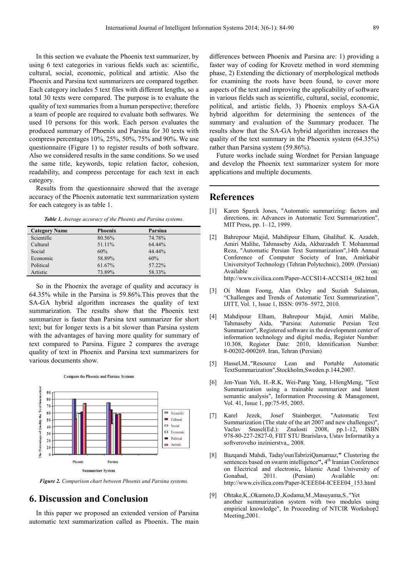In this section we evaluate the Phoenix text summarizer, by using 6 text categories in various fields such as: scientific, cultural, social, economic, political and artistic. Also the Phoenix and Parsina text summarizers are compared together. Each category includes 5 text files with different lengths, so a total 30 texts were compared. The purpose is to evaluate the quality of text summaries from a human perspective; therefore a team of people are required to evaluate both softwares. We used 10 persons for this work. Each person evaluates the produced summary of Phoenix and Parsina for 30 texts with compress percentages 10%, 25%, 50%, 75% and 90%. We use questionnaire (Figure 1) to register results of both software. Also we considered results in the same conditions. So we used the same title, keywords, topic relation factor, cohesion, readability, and compress percentage for each text in each category.

Results from the questionnaire showed that the average accuracy of the Phoenix automatic text summarization system for each category is as table 1.

*Table 1. Average accuracy of the Phoenix and Parsina systems.* 

| <b>Category Name</b> | <b>Phoenix</b> | Parsina |
|----------------------|----------------|---------|
| Scientific           | 80.56%         | 74.78%  |
| Cultural             | 51.11%         | 64.44%  |
| Social               | 60%            | 44.44%  |
| Economic             | 58.89%         | 60%     |
| Political            | 61.67%         | 57.22%  |
| Artistic             | 73.89%         | 58.33%  |

So in the Phoenix the average of quality and accuracy is 64.35% while in the Parsina is 59.86%.This proves that the SA-GA hybrid algorithm increases the quality of text summarization. The results show that the Phoenix text summarizer is faster than Parsina text summarizer for short text; but for longer texts is a bit slower than Parsina system with the advantages of having more quality for summary of text compared to Parsina. Figure 2 compares the average quality of text in Phoenix and Parsina text summarizers for various documents show.

**Compare the Phoenix and Parsina Systems** 



*Figure 2. Comparison chart between Phoenix and Parsina systems.* 

# **6. Discussion and Conclusion**

In this paper we proposed an extended version of Parsina automatic text summarization called as Phoenix. The main

differences between Phoenix and Parsina are: 1) providing a faster way of coding for Krovetz method in word stemming phase, 2) Extending the dictionary of morphological methods for examining the roots have been found, to cover more aspects of the text and improving the applicability of software in various fields such as scientific, cultural, social, economic, political, and artistic fields, 3) Phoenix employs SA-GA hybrid algorithm for determining the sentences of the summary and evaluation of the Summary producer. The results show that the SA-GA hybrid algorithm increases the quality of the text summary in the Phoenix system (64.35%) rather than Parsina system (59.86%).

Future works include suing Wordnet for Persian language and develop the Phoenix text summarizer system for more applications and multiple documents.

### **References**

- [1] Karen Sparck Jones, "Automatic summarizing: factors and directions, in: Advances in Automatic Text Summarization", MIT Press, pp. 1–12, 1999.
- [2] Bahrepour Majid, Mahdipour Elham, Ghalibaf. K. Azadeh, Amiri Malihe, Tahmaseby Aida, Akbarzadeh T. Mohammad Reza, "Automatic Persian Text Summarization",14th Annual Conference of Computer Society of Iran, Amirkabir Universityof Technology (Tehran Polytechnic), 2009. (Persian) Available on: 000 http://www.civilica.com/Paper-ACCSI14-ACCSI14\_082.html
- [3] Oi Mean Foong, Alan Oxley and Suziah Sulaiman, "Challenges and Trends of Automatic Text Summarization", IJITT, Vol. 1, Issue 1, ISSN: 0976–5972, 2010.
- [4] Mahdipour Elham, Bahrepour Majid, Amiri Malihe, Tahmaseby Aida, "Parsina: Automatic Persian Text Summarizer", Registered software in the development center of information technology and digital media, Register Number: 10.308, Register Date: 2010, Identification Number: 8-00202-000269. Iran, Tehran (Persian)
- [5] Hassel,M*.,*"Resource Lean and Portable Automatic TextSummarization",Stockholm,Sweden.p.144,2007.
- [6] Jen-Yuan Yeh, H.-R.K, Wei-Pang Yang, I-HengMeng, "Text Summarization using a trainable summarizer and latent semantic analysis", Information Processing & Management, Vol. 41, Issue 1, pp:75-95, 2005.
- [7] Karel Jezek, Josef Stainberger, "Automatic Text Summarization (The state of the art 2007 and new challenges)",<br>Vaclav Snasel(Ed.): Znalosti 2008, pp.1-12, ISBN Vaclav Snasel $(Ed.):$  Znalosti 2008, pp.1-12, 978-80-227-2827-0, FIIT STU Brarislava, Ustav Informatiky a softveroveho inzinierstva,, 2008.
- [8] Bazqandi Mahdi, Taday'ounTabriziQamarnaz,**"** Clustering the sentences based on swarm intelligence", 4<sup>th</sup> Iranian Conference on Electrical and electronic, Islamic Azad University of Gonabad, 2011. (Persian) Available on: Gonabad, 2011. (Persian) Available on: http://www.civilica.com/Paper-ICEEE04-ICEEE04\_153.html
- [9] Ohtake,K.,Okamoto,D.,Kodama,M.,Masuyama,S*.,*"Yet another summarization system with two modules using empirical knowledge", In Proceeding of NTCIR Workshop2 Meeting,2001.